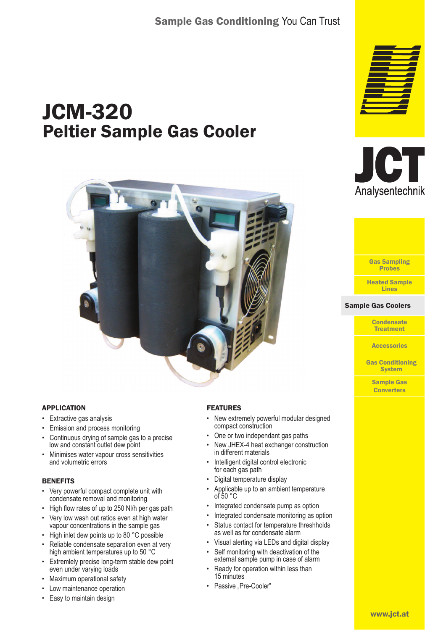# JCM-320 Peltier Sample Gas Cooler



### APPLICATION

- Extractive gas analysis
- Emission and process monitoring
- Continuous drying of sample gas to a precise low and constant outlet dew point
- Minimises water vapour cross sensitivities and volumetric errors

#### **BENEFITS**

- Very powerful compact complete unit with condensate removal and monitoring
- High flow rates of up to 250 Nl/h per gas path
- Very low wash out ratios even at high water vapour concentrations in the sample gas
- High inlet dew points up to 80 °C possible
- Reliable condensate separation even at very high ambient temperatures up to 50 °C
- Extremlely precise long-term stable dew point even under varying loads
- Maximum operational safety
- Low maintenance operation
- Easy to maintain design



- New extremely powerful modular designed compact construction
- One or two independant gas paths
- New JHEX-4 heat exchanger construction in different materials
- Intelligent digital control electronic for each gas path
- Digital temperature display
- Applicable up to an ambient temperature of 50 $\degree$ C
- Integrated condensate pump as option
- Integrated condensate monitoring as option
- Status contact for temperature threshholds as well as for condensate alarm
- Visual alerting via LEDs and digital display
- Self monitoring with deactivation of the external sample pump in case of alarm
- Ready for operation within less than 15 minutes
- Passive "Pre-Cooler"







#### **Sample Gas Coolers**

**Condensate Treatment** 

**Accessories** 

Gas Conditioning **System** 

Sample Gas **Converters**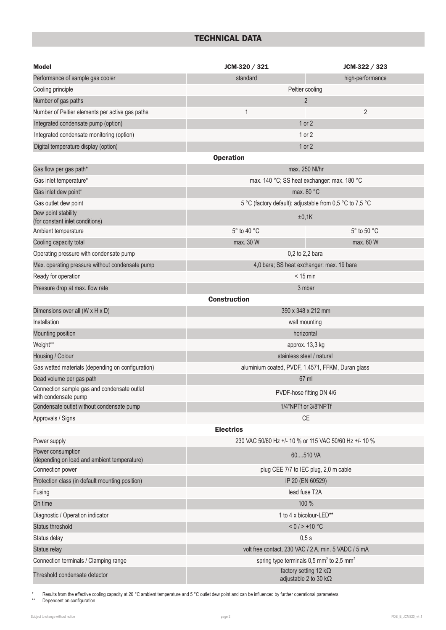# TECHNICAL DATA

| <b>Model</b>                                                        | JCM-320 / 321                                                    | JCM-322 / 323    |  |  |  |  |  |  |
|---------------------------------------------------------------------|------------------------------------------------------------------|------------------|--|--|--|--|--|--|
| Performance of sample gas cooler                                    | standard                                                         | high-performance |  |  |  |  |  |  |
| Cooling principle                                                   | Peltier cooling                                                  |                  |  |  |  |  |  |  |
| Number of gas paths                                                 | 2                                                                |                  |  |  |  |  |  |  |
| Number of Peltier elements per active gas paths                     | $\mathbf{1}$                                                     | $\overline{2}$   |  |  |  |  |  |  |
| Integrated condensate pump (option)                                 | $1$ or $2$                                                       |                  |  |  |  |  |  |  |
| Integrated condensate monitoring (option)                           | $1$ or $2$                                                       |                  |  |  |  |  |  |  |
| Digital temperature display (option)                                | $1$ or $2$                                                       |                  |  |  |  |  |  |  |
| <b>Operation</b>                                                    |                                                                  |                  |  |  |  |  |  |  |
| Gas flow per gas path*                                              | max. 250 Nl/hr                                                   |                  |  |  |  |  |  |  |
| Gas inlet temperature*                                              | max. 140 °C; SS heat exchanger: max. 180 °C                      |                  |  |  |  |  |  |  |
| Gas inlet dew point*                                                | max. 80 °C                                                       |                  |  |  |  |  |  |  |
| Gas outlet dew point                                                | 5 °C (factory default); adjustable from 0,5 °C to 7,5 °C         |                  |  |  |  |  |  |  |
| Dew point stability<br>(for constant inlet conditions)              | ±0,1K                                                            |                  |  |  |  |  |  |  |
| Ambient temperature                                                 | 5° to 40 °C                                                      | 5° to 50 °C      |  |  |  |  |  |  |
| Cooling capacity total                                              | max. 30 W                                                        | max. 60 W        |  |  |  |  |  |  |
| Operating pressure with condensate pump                             | 0,2 to 2,2 bara                                                  |                  |  |  |  |  |  |  |
| Max. operating pressure without condensate pump                     | 4,0 bara; SS heat exchanger: max. 19 bara                        |                  |  |  |  |  |  |  |
| Ready for operation                                                 | $<$ 15 min                                                       |                  |  |  |  |  |  |  |
| Pressure drop at max. flow rate                                     | 3 mbar                                                           |                  |  |  |  |  |  |  |
|                                                                     | <b>Construction</b>                                              |                  |  |  |  |  |  |  |
| Dimensions over all (W x H x D)                                     | 390 x 348 x 212 mm                                               |                  |  |  |  |  |  |  |
| Installation                                                        | wall mounting                                                    |                  |  |  |  |  |  |  |
| Mounting position                                                   | horizontal                                                       |                  |  |  |  |  |  |  |
| Weight**                                                            | approx. 13,3 kg                                                  |                  |  |  |  |  |  |  |
| Housing / Colour                                                    | stainless steel / natural                                        |                  |  |  |  |  |  |  |
| Gas wetted materials (depending on configuration)                   | aluminium coated, PVDF, 1.4571, FFKM, Duran glass                |                  |  |  |  |  |  |  |
| Dead volume per gas path                                            | 67 ml                                                            |                  |  |  |  |  |  |  |
| Connection sample gas and condensate outlet<br>with condensate pump | PVDF-hose fitting DN 4/6                                         |                  |  |  |  |  |  |  |
| Condensate outlet without condensate pump                           | 1/4"NPTf or 3/8"NPTf                                             |                  |  |  |  |  |  |  |
| Approvals / Signs                                                   | <b>CE</b>                                                        |                  |  |  |  |  |  |  |
| <b>Electrics</b>                                                    |                                                                  |                  |  |  |  |  |  |  |
| Power supply                                                        | 230 VAC 50/60 Hz +/- 10 % or 115 VAC 50/60 Hz +/- 10 %           |                  |  |  |  |  |  |  |
| Power consumption<br>(depending on load and ambient temperature)    | 60510 VA                                                         |                  |  |  |  |  |  |  |
| Connection power                                                    | plug CEE 7/7 to IEC plug, 2,0 m cable                            |                  |  |  |  |  |  |  |
| Protection class (in default mounting position)                     | IP 20 (EN 60529)                                                 |                  |  |  |  |  |  |  |
| Fusing                                                              | lead fuse T2A                                                    |                  |  |  |  |  |  |  |
| On time                                                             | 100 %                                                            |                  |  |  |  |  |  |  |
| Diagnostic / Operation indicator                                    | 1 to 4 x bicolour-LED**                                          |                  |  |  |  |  |  |  |
| Status threshold                                                    | $< 0 / > +10$ °C                                                 |                  |  |  |  |  |  |  |
| Status delay                                                        | 0,5s                                                             |                  |  |  |  |  |  |  |
| Status relay                                                        | volt free contact, 230 VAC / 2 A, min. 5 VADC / 5 mA             |                  |  |  |  |  |  |  |
| Connection terminals / Clamping range                               | spring type terminals 0,5 mm <sup>2</sup> to 2,5 mm <sup>2</sup> |                  |  |  |  |  |  |  |
| Threshold condensate detector                                       | factory setting 12 $k\Omega$<br>adjustable 2 to 30 $k\Omega$     |                  |  |  |  |  |  |  |

\* Results from the effective cooling capacity at 20 °C ambient temperature and 5 °C outlet dew point and can be influenced by further operational parameters<br>\*\* Dependent on configuration

Dependent on configuration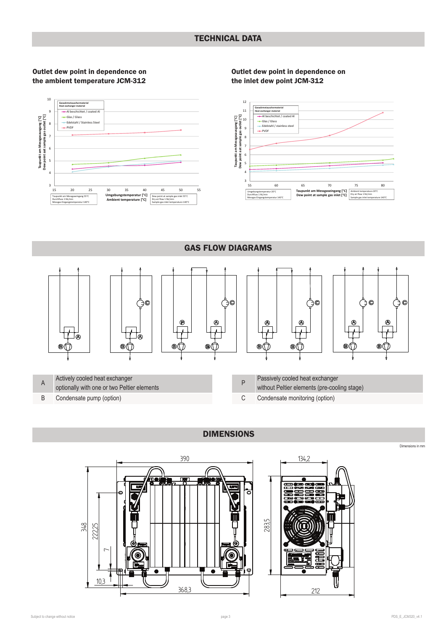#### Outlet dew point in dependence on the ambient temperature JCM-312

#### Outlet dew point in dependence on the inlet dew point JCM-312



GAS FLOW DIAGRAMS ზ€ 90  $\ddot{\text{o}}$ C ↷ ര ( ÷  $\odot$  $^{\circ}$ ◉  $^{\circ}$ ⋒  $\overline{\mathbb{H}}_\bullet$  $\overline{\phantom{a}}$ ⊿آ  $\mathbf{D}$ A Actively cooled heat exchanger Passively cooled heat exchanger optionally with one or two Peltier elements without Peltier elements (pre-cooling stage)

B Condensate pump (option)

C Condensate monitoring (option)



## DIMENSIONS



Dimensions in mm